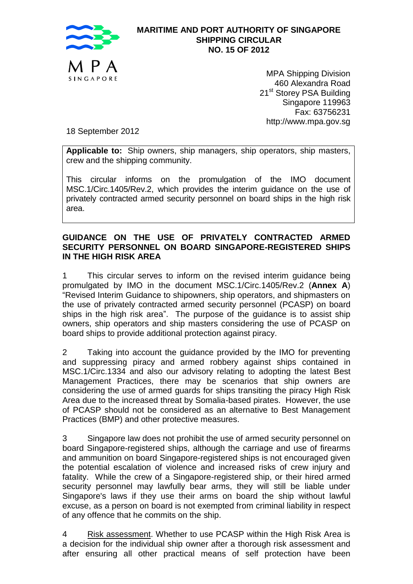

## **MARITIME AND PORT AUTHORITY OF SINGAPORE SHIPPING CIRCULAR NO. 15 OF 2012**

MPA Shipping Division 460 Alexandra Road 21<sup>st</sup> Storey PSA Building Singapore 119963 Fax: 63756231 http://www.mpa.gov.sg

18 September 2012

**Applicable to:** Ship owners, ship managers, ship operators, ship masters, crew and the shipping community.

This circular informs on the promulgation of the IMO document MSC.1/Circ.1405/Rev.2, which provides the interim guidance on the use of privately contracted armed security personnel on board ships in the high risk area.

## **GUIDANCE ON THE USE OF PRIVATELY CONTRACTED ARMED SECURITY PERSONNEL ON BOARD SINGAPORE-REGISTERED SHIPS IN THE HIGH RISK AREA**

1 This circular serves to inform on the revised interim guidance being promulgated by IMO in the document MSC.1/Circ.1405/Rev.2 (**Annex A**) "Revised Interim Guidance to shipowners, ship operators, and shipmasters on the use of privately contracted armed security personnel (PCASP) on board ships in the high risk area". The purpose of the guidance is to assist ship owners, ship operators and ship masters considering the use of PCASP on board ships to provide additional protection against piracy.

2 Taking into account the guidance provided by the IMO for preventing and suppressing piracy and armed robbery against ships contained in MSC.1/Circ.1334 and also our advisory relating to adopting the latest Best Management Practices, there may be scenarios that ship owners are considering the use of armed guards for ships transiting the piracy High Risk Area due to the increased threat by Somalia-based pirates. However, the use of PCASP should not be considered as an alternative to Best Management Practices (BMP) and other protective measures.

3 Singapore law does not prohibit the use of armed security personnel on board Singapore-registered ships, although the carriage and use of firearms and ammunition on board Singapore-registered ships is not encouraged given the potential escalation of violence and increased risks of crew injury and fatality. While the crew of a Singapore-registered ship, or their hired armed security personnel may lawfully bear arms, they will still be liable under Singapore's laws if they use their arms on board the ship without lawful excuse, as a person on board is not exempted from criminal liability in respect of any offence that he commits on the ship.

4 Risk assessment. Whether to use PCASP within the High Risk Area is a decision for the individual ship owner after a thorough risk assessment and after ensuring all other practical means of self protection have been